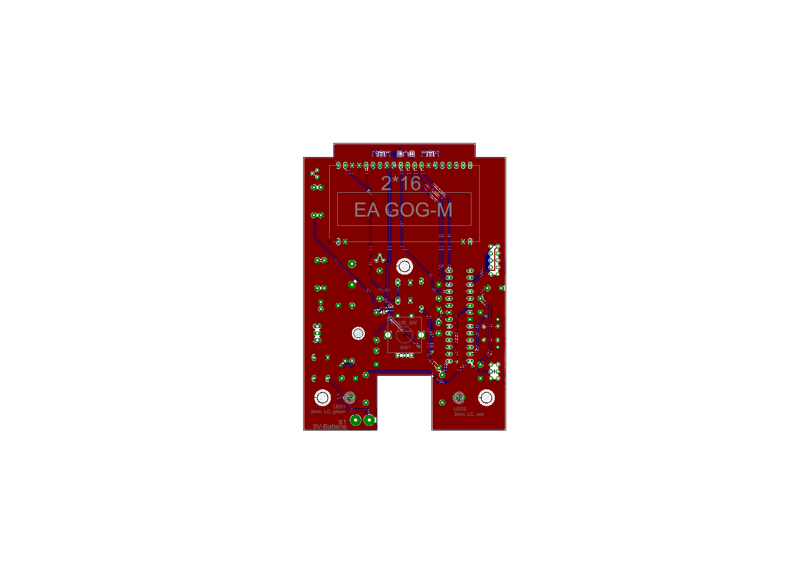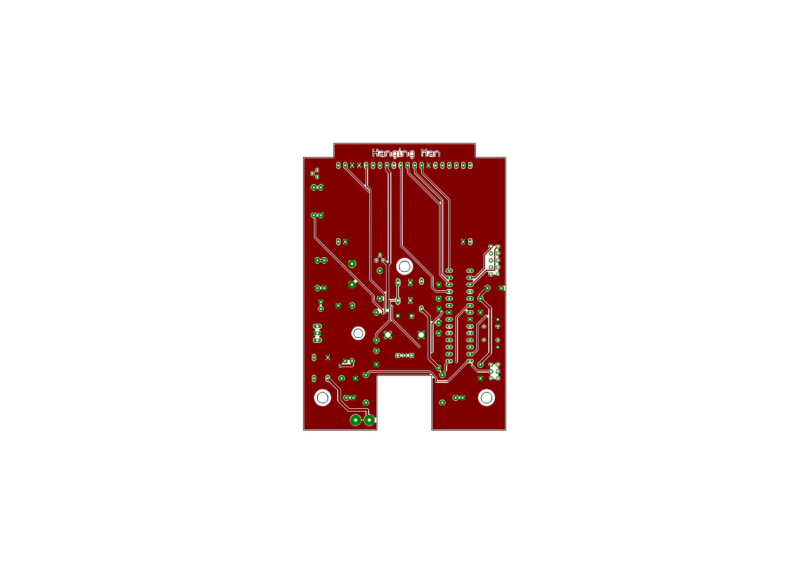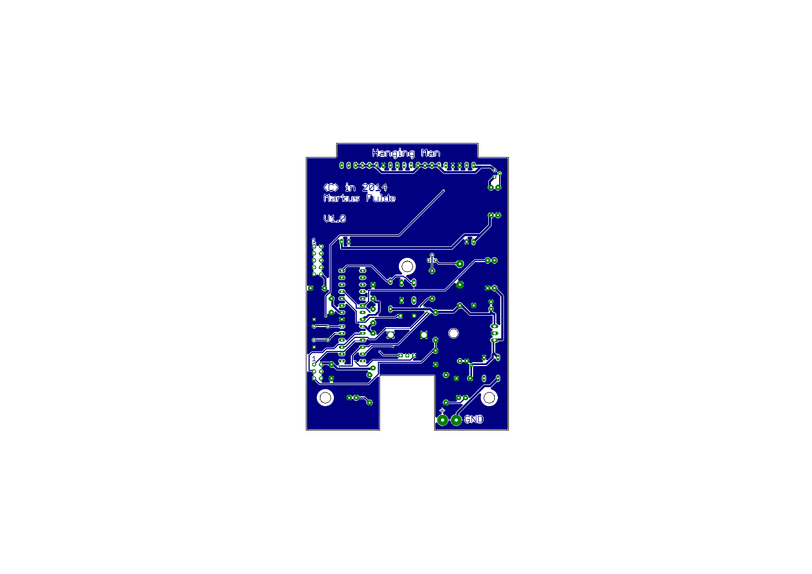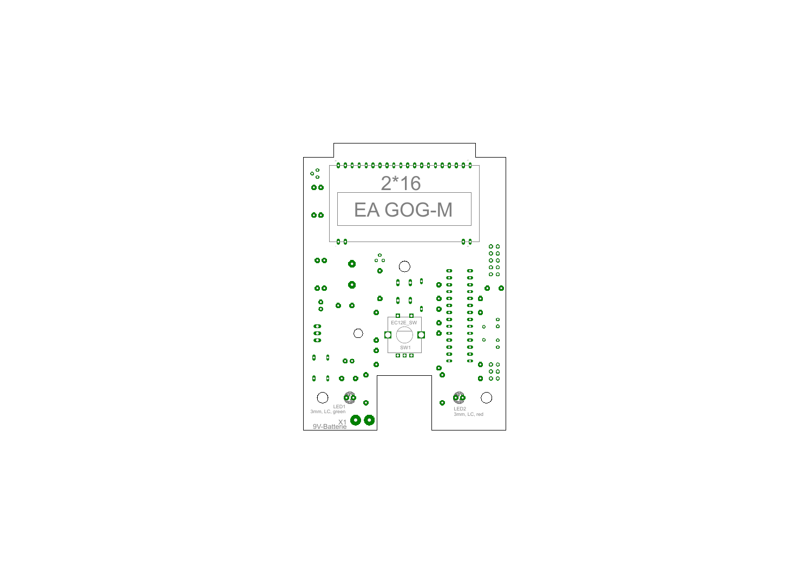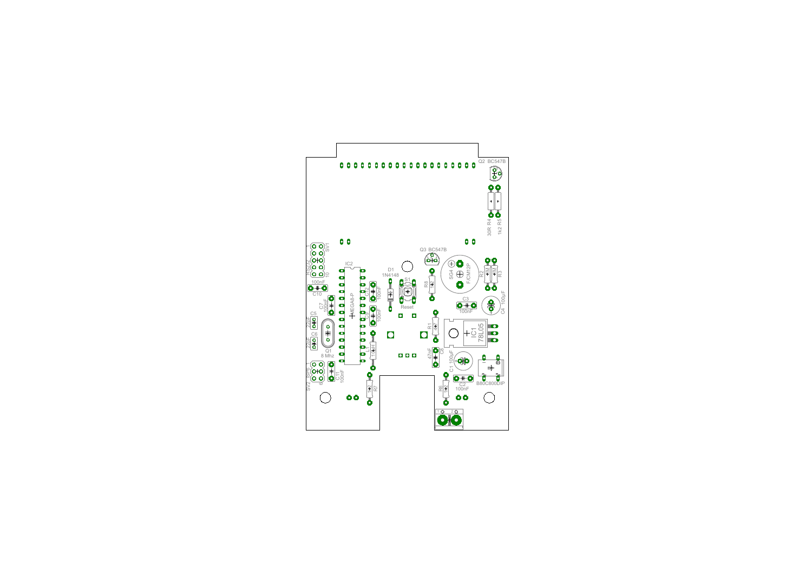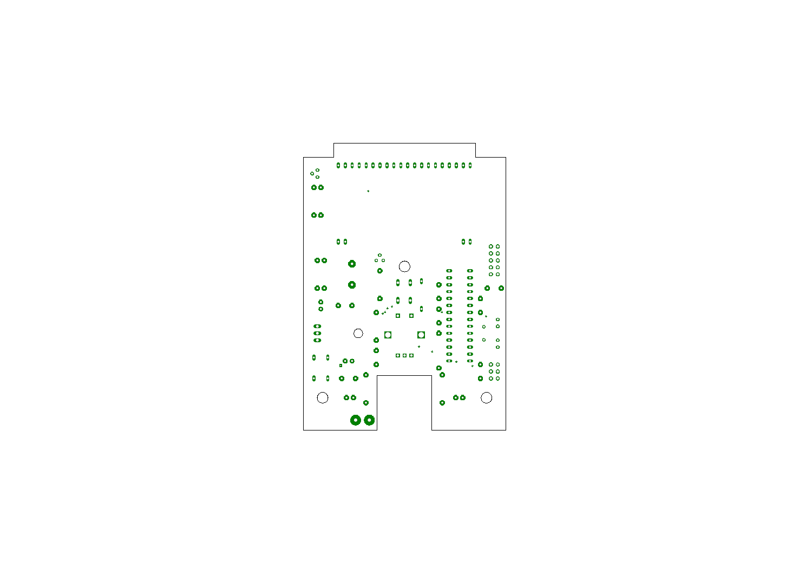